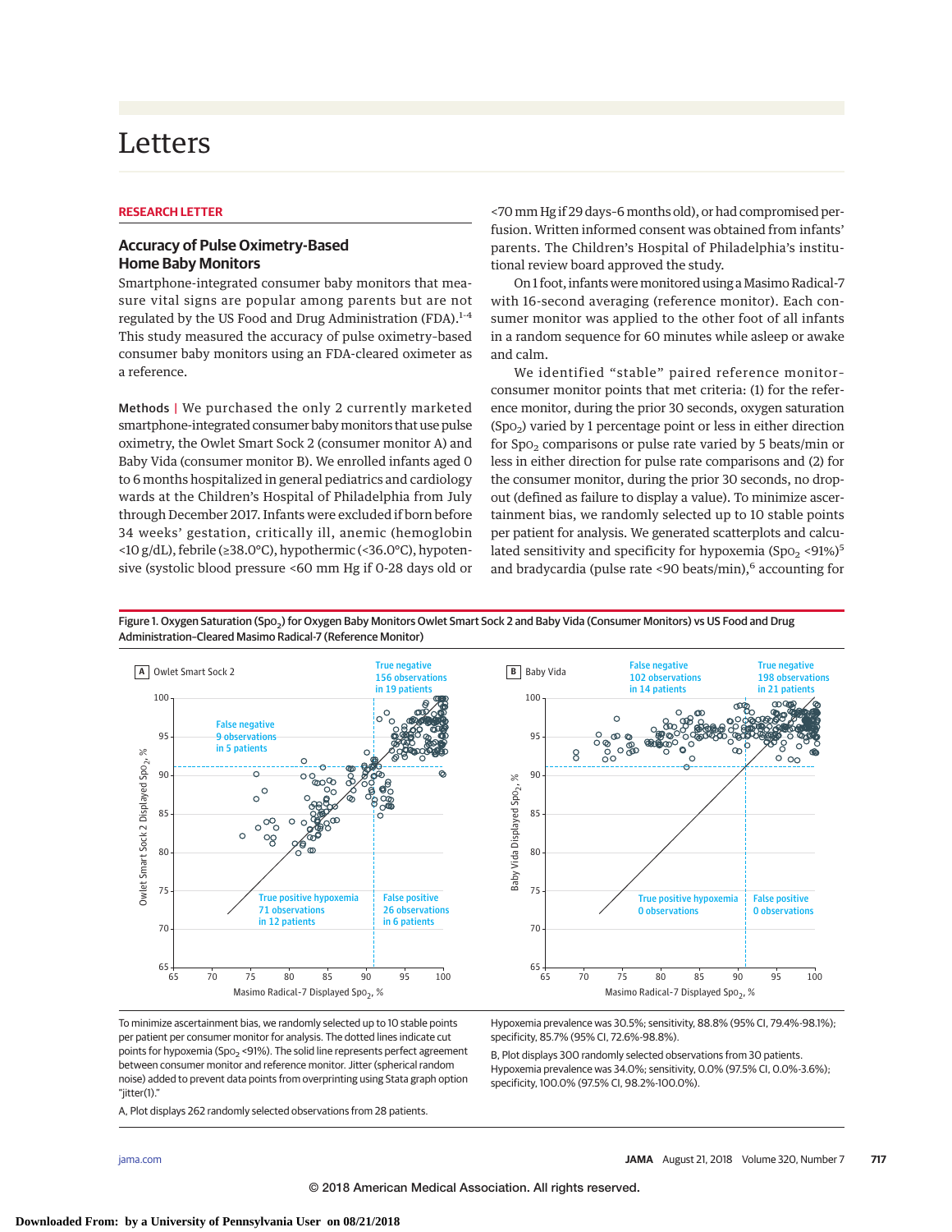# Letters

#### **RESEARCH LETTER**

## **Accuracy of Pulse Oximetry-Based Home Baby Monitors**

Smartphone-integrated consumer baby monitors that measure vital signs are popular among parents but are not regulated by the US Food and Drug Administration (FDA).<sup>1-4</sup> This study measured the accuracy of pulse oximetry–based consumer baby monitors using an FDA-cleared oximeter as a reference.

Methods | We purchased the only 2 currently marketed smartphone-integrated consumer babymonitors that use pulse oximetry, the Owlet Smart Sock 2 (consumer monitor A) and Baby Vida (consumer monitor B). We enrolled infants aged 0 to 6 months hospitalized in general pediatrics and cardiology wards at the Children's Hospital of Philadelphia from July through December 2017. Infants were excluded if born before 34 weeks' gestation, critically ill, anemic (hemoglobin <10 g/dL), febrile (≥38.0°C), hypothermic (<36.0°C), hypotensive (systolic blood pressure <60 mm Hg if 0-28 days old or <70mm Hg if 29 days–6months old), or had compromised perfusion. Written informed consent was obtained from infants' parents. The Children's Hospital of Philadelphia's institutional review board approved the study.

On 1 foot, infants weremonitored using aMasimo Radical-7 with 16-second averaging (reference monitor). Each consumer monitor was applied to the other foot of all infants in a random sequence for 60 minutes while asleep or awake and calm.

We identified "stable" paired reference monitor– consumer monitor points that met criteria: (1) for the reference monitor, during the prior 30 seconds, oxygen saturation  $(Spo<sub>2</sub>)$  varied by 1 percentage point or less in either direction for  $Spo<sub>2</sub>$  comparisons or pulse rate varied by 5 beats/min or less in either direction for pulse rate comparisons and (2) for the consumer monitor, during the prior 30 seconds, no dropout (defined as failure to display a value). To minimize ascertainment bias, we randomly selected up to 10 stable points per patient for analysis. We generated scatterplots and calculated sensitivity and specificity for hypoxemia  $(Spo<sub>2</sub> < 91%)<sup>5</sup>$ and bradycardia (pulse rate <90 beats/min), $6$  accounting for

> False negative 102 observations in 14 patients

 $\circ$ ത  $\circ$ 

8

True negative 198 observations in 21 patients

 $\omega$ 

 $\overline{\circ}$  $\infty$ 

഻ഁ

False positive 0 observations



Figure 1. Oxygen Saturation (Spo<sub>2</sub>) for Oxygen Baby Monitors Owlet Smart Sock 2 and Baby Vida (Consumer Monitors) vs US Food and Drug Administration–Cleared Masimo Radical-7 (Reference Monitor)

To minimize ascertainment bias, we randomly selected up to 10 stable points per patient per consumer monitor for analysis. The dotted lines indicate cut points for hypoxemia (Spo<sub>2</sub> <91%). The solid line represents perfect agreement between consumer monitor and reference monitor. Jitter (spherical random noise) added to prevent data points from overprinting using Stata graph option "jitter(1)."

A, Plot displays 262 randomly selected observations from 28 patients.

Hypoxemia prevalence was 30.5%; sensitivity, 88.8% (95% CI, 79.4%-98.1%); specificity, 85.7% (95% CI, 72.6%-98.8%).

Masimo Radical-7 Displayed Spo<sub>2</sub>, %

True positive hypoxemia 0 observations

 $\circ$ 

B, Plot displays 300 randomly selected observations from 30 patients. Hypoxemia prevalence was 34.0%; sensitivity, 0.0% (97.5% CI, 0.0%-3.6%); specificity, 100.0% (97.5% CI, 98.2%-100.0%).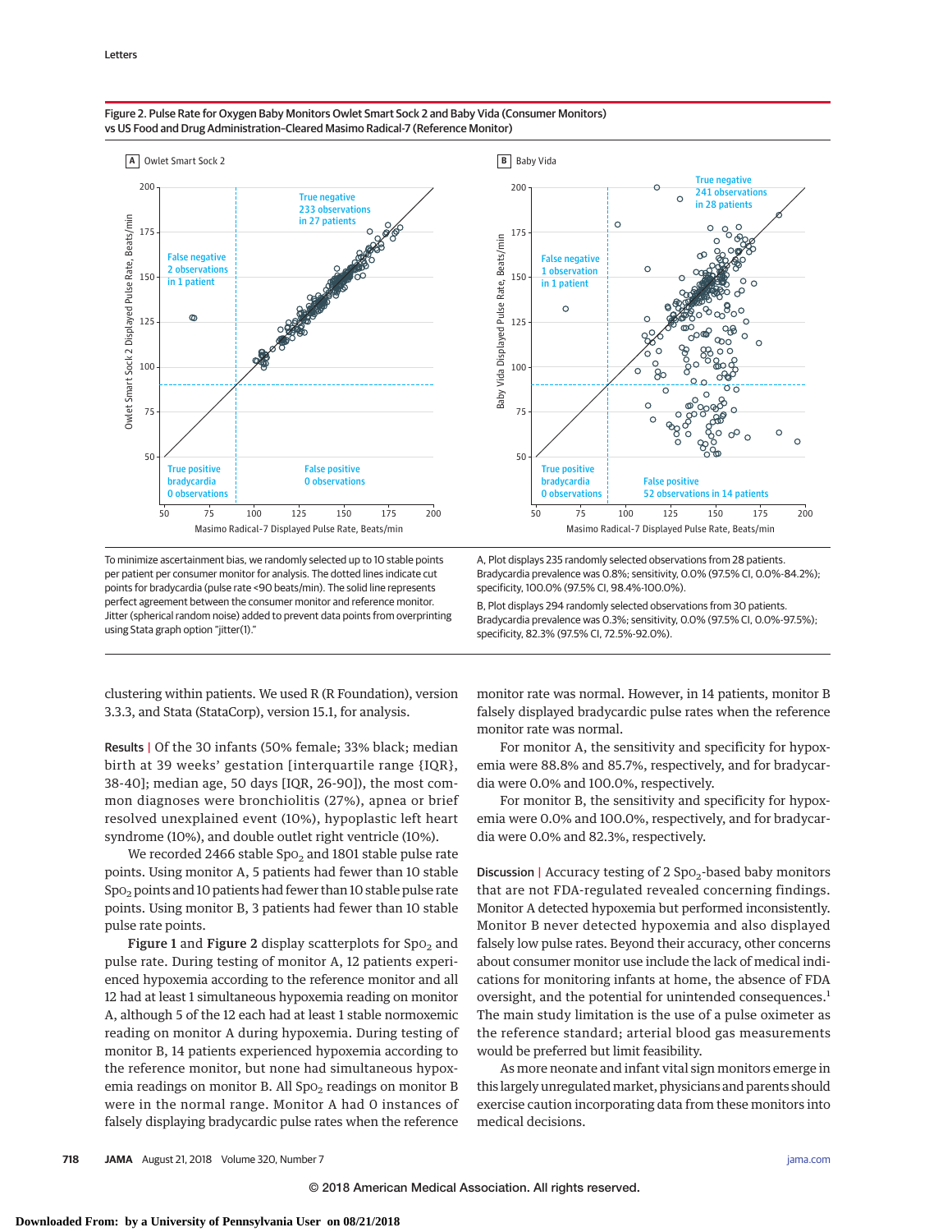

#### Figure 2. Pulse Rate for Oxygen Baby Monitors Owlet Smart Sock 2 and Baby Vida (Consumer Monitors) vs US Food and Drug Administration–Cleared Masimo Radical-7 (Reference Monitor)

To minimize ascertainment bias, we randomly selected up to 10 stable points per patient per consumer monitor for analysis. The dotted lines indicate cut points for bradycardia (pulse rate <90 beats/min). The solid line represents perfect agreement between the consumer monitor and reference monitor. Jitter (spherical random noise) added to prevent data points from overprinting using Stata graph option "jitter(1)."

Bradycardia prevalence was 0.8%; sensitivity, 0.0% (97.5% CI, 0.0%-84.2%); specificity, 100.0% (97.5% CI, 98.4%-100.0%).

B, Plot displays 294 randomly selected observations from 30 patients. Bradycardia prevalence was 0.3%; sensitivity, 0.0% (97.5% CI, 0.0%-97.5%); specificity, 82.3% (97.5% CI, 72.5%-92.0%).

clustering within patients. We used R (R Foundation), version 3.3.3, and Stata (StataCorp), version 15.1, for analysis.

Results | Of the 30 infants (50% female; 33% black; median birth at 39 weeks' gestation [interquartile range {IQR}, 38-40]; median age, 50 days [IQR, 26-90]), the most common diagnoses were bronchiolitis (27%), apnea or brief resolved unexplained event (10%), hypoplastic left heart syndrome (10%), and double outlet right ventricle (10%).

We recorded 2466 stable  $Spo<sub>2</sub>$  and 1801 stable pulse rate points. Using monitor A, 5 patients had fewer than 10 stable  $Spo<sub>2</sub>$  points and 10 patients had fewer than 10 stable pulse rate points. Using monitor B, 3 patients had fewer than 10 stable pulse rate points.

Figure 1 and Figure 2 display scatterplots for  $SpO<sub>2</sub>$  and pulse rate. During testing of monitor A, 12 patients experienced hypoxemia according to the reference monitor and all 12 had at least 1 simultaneous hypoxemia reading on monitor A, although 5 of the 12 each had at least 1 stable normoxemic reading on monitor A during hypoxemia. During testing of monitor B, 14 patients experienced hypoxemia according to the reference monitor, but none had simultaneous hypoxemia readings on monitor B. All Spo<sub>2</sub> readings on monitor B were in the normal range. Monitor A had 0 instances of falsely displaying bradycardic pulse rates when the reference monitor rate was normal. However, in 14 patients, monitor B falsely displayed bradycardic pulse rates when the reference monitor rate was normal.

For monitor A, the sensitivity and specificity for hypoxemia were 88.8% and 85.7%, respectively, and for bradycardia were 0.0% and 100.0%, respectively.

For monitor B, the sensitivity and specificity for hypoxemia were 0.0% and 100.0%, respectively, and for bradycardia were 0.0% and 82.3%, respectively.

Discussion | Accuracy testing of 2  $Spo<sub>2</sub>$ -based baby monitors that are not FDA-regulated revealed concerning findings. Monitor A detected hypoxemia but performed inconsistently. Monitor B never detected hypoxemia and also displayed falsely low pulse rates. Beyond their accuracy, other concerns about consumer monitor use include the lack of medical indications for monitoring infants at home, the absence of FDA oversight, and the potential for unintended consequences.<sup>1</sup> The main study limitation is the use of a pulse oximeter as the reference standard; arterial blood gas measurements would be preferred but limit feasibility.

As more neonate and infant vital sign monitors emerge in this largely unregulatedmarket, physicians and parents should exercise caution incorporating data from these monitors into medical decisions.